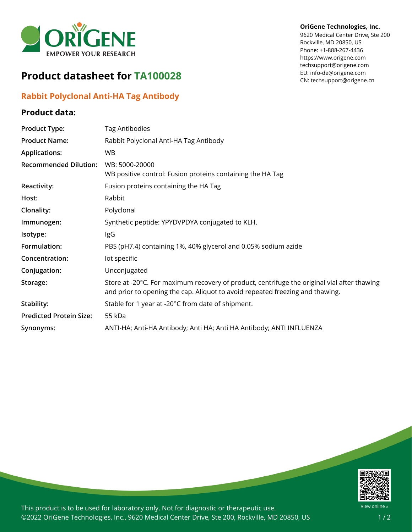

# **Product datasheet for TA100028**

## **Rabbit Polyclonal Anti-HA Tag Antibody**

#### **Product data:**

#### **OriGene Technologies, Inc.**

9620 Medical Center Drive, Ste 200 Rockville, MD 20850, US Phone: +1-888-267-4436 https://www.origene.com techsupport@origene.com EU: info-de@origene.com CN: techsupport@origene.cn

| <b>Product Type:</b>           | Tag Antibodies                                                                                                                                                               |
|--------------------------------|------------------------------------------------------------------------------------------------------------------------------------------------------------------------------|
| <b>Product Name:</b>           | Rabbit Polyclonal Anti-HA Tag Antibody                                                                                                                                       |
| <b>Applications:</b>           | <b>WB</b>                                                                                                                                                                    |
| <b>Recommended Dilution:</b>   | WB: 5000-20000<br>WB positive control: Fusion proteins containing the HA Tag                                                                                                 |
| Reactivity:                    | Fusion proteins containing the HA Tag                                                                                                                                        |
| Host:                          | Rabbit                                                                                                                                                                       |
| Clonality:                     | Polyclonal                                                                                                                                                                   |
| Immunogen:                     | Synthetic peptide: YPYDVPDYA conjugated to KLH.                                                                                                                              |
| Isotype:                       | IgG                                                                                                                                                                          |
| Formulation:                   | PBS (pH7.4) containing 1%, 40% glycerol and 0.05% sodium azide                                                                                                               |
| Concentration:                 | lot specific                                                                                                                                                                 |
| Conjugation:                   | Unconjugated                                                                                                                                                                 |
| Storage:                       | Store at -20°C. For maximum recovery of product, centrifuge the original vial after thawing<br>and prior to opening the cap. Aliquot to avoid repeated freezing and thawing. |
| Stability:                     | Stable for 1 year at -20°C from date of shipment.                                                                                                                            |
| <b>Predicted Protein Size:</b> | 55 kDa                                                                                                                                                                       |
| Synonyms:                      | ANTI-HA; Anti-HA Antibody; Anti HA; Anti HA Antibody; ANTI INFLUENZA                                                                                                         |



This product is to be used for laboratory only. Not for diagnostic or therapeutic use. ©2022 OriGene Technologies, Inc., 9620 Medical Center Drive, Ste 200, Rockville, MD 20850, US